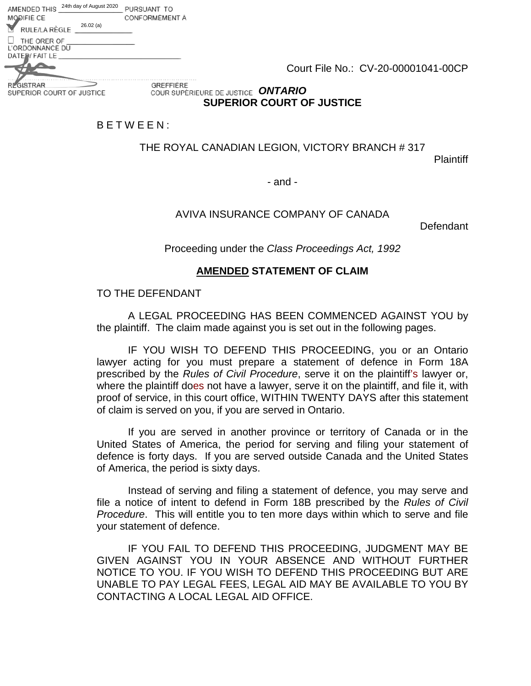Court File No.: CV-20-00001041-00CP

**REGISTRAR** SUPERIOR COURT OF JUSTICE

MODIFIÈ CE

RULE/LA RÈGLE THE ORER OF L'ORDONNANCE DU DATE: FAIT LE

26.02 (a)

AMENDED THIS 24th day of August 2020 PURSUANT TO

GREFFIÈRE *ONTARIO* **SUPERIOR COURT OF JUSTICE** 

### B E T W E E N :

CONFORMEMENT A

THE ROYAL CANADIAN LEGION, VICTORY BRANCH # 317

**Plaintiff** 

- and -

### AVIVA INSURANCE COMPANY OF CANADA

Defendant

Proceeding under the *Class Proceedings Act, 1992* 

### **AMENDED STATEMENT OF CLAIM**

#### TO THE DEFENDANT

A LEGAL PROCEEDING HAS BEEN COMMENCED AGAINST YOU by the plaintiff. The claim made against you is set out in the following pages.

IF YOU WISH TO DEFEND THIS PROCEEDING, you or an Ontario lawyer acting for you must prepare a statement of defence in Form 18A prescribed by the *Rules of Civil Procedure*, serve it on the plaintiff's lawyer or, where the plaintiff does not have a lawyer, serve it on the plaintiff, and file it, with proof of service, in this court office, WITHIN TWENTY DAYS after this statement of claim is served on you, if you are served in Ontario.

If you are served in another province or territory of Canada or in the United States of America, the period for serving and filing your statement of defence is forty days. If you are served outside Canada and the United States of America, the period is sixty days.

Instead of serving and filing a statement of defence, you may serve and file a notice of intent to defend in Form 18B prescribed by the *Rules of Civil Procedure*. This will entitle you to ten more days within which to serve and file your statement of defence.

IF YOU FAIL TO DEFEND THIS PROCEEDING, JUDGMENT MAY BE GIVEN AGAINST YOU IN YOUR ABSENCE AND WITHOUT FURTHER NOTICE TO YOU. IF YOU WISH TO DEFEND THIS PROCEEDING BUT ARE UNABLE TO PAY LEGAL FEES, LEGAL AID MAY BE AVAILABLE TO YOU BY CONTACTING A LOCAL LEGAL AID OFFICE.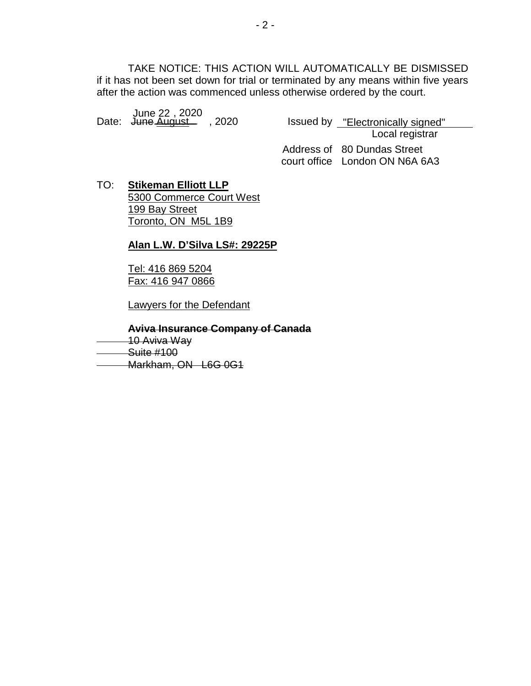TAKE NOTICE: THIS ACTION WILL AUTOMATICALLY BE DISMISSED if it has not been set down for trial or terminated by any means within five years after the action was commenced unless otherwise ordered by the court.

June 22 , 2020<br>"Date: <del>June <u>August</u> </del> , 2020 Issued by <u>"Electronically signed</u>

Issued by <u>"Electronically signed"</u><br>Local registrar Address of 80 Dundas Street

court office London ON N6A 6A3

TO: **Stikeman Elliott LLP** 5300 Commerce Court West 199 Bay Street Toronto, ON M5L 1B9

### **Alan L.W. D'Silva LS#: 29225P**

Tel: 416 869 5204 Fax: 416 947 0866

Lawyers for the Defendant

**Aviva Insurance Company of Canada**

10 Aviva Way

Suite #100

Markham, ON L6G 0G1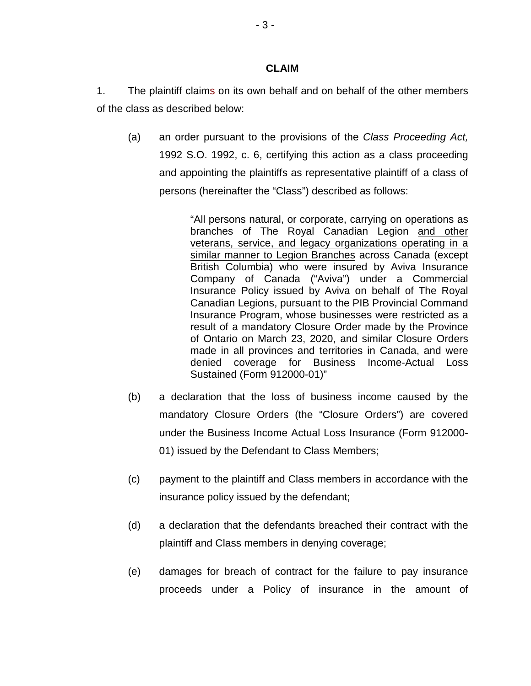#### **CLAIM**

- 1. The plaintiff claims on its own behalf and on behalf of the other members of the class as described below:
	- (a) an order pursuant to the provisions of the *Class Proceeding Act,* 1992 S.O. 1992, c. 6, certifying this action as a class proceeding and appointing the plaintiffs as representative plaintiff of a class of persons (hereinafter the "Class") described as follows:

"All persons natural, or corporate, carrying on operations as branches of The Royal Canadian Legion and other veterans, service, and legacy organizations operating in a similar manner to Legion Branches across Canada (except British Columbia) who were insured by Aviva Insurance Company of Canada ("Aviva") under a Commercial Insurance Policy issued by Aviva on behalf of The Royal Canadian Legions, pursuant to the PIB Provincial Command Insurance Program, whose businesses were restricted as a result of a mandatory Closure Order made by the Province of Ontario on March 23, 2020, and similar Closure Orders made in all provinces and territories in Canada, and were denied coverage for Business Income-Actual Loss Sustained (Form 912000-01)"

- (b) a declaration that the loss of business income caused by the mandatory Closure Orders (the "Closure Orders") are covered under the Business Income Actual Loss Insurance (Form 912000- 01) issued by the Defendant to Class Members;
- (c) payment to the plaintiff and Class members in accordance with the insurance policy issued by the defendant;
- (d) a declaration that the defendants breached their contract with the plaintiff and Class members in denying coverage;
- (e) damages for breach of contract for the failure to pay insurance proceeds under a Policy of insurance in the amount of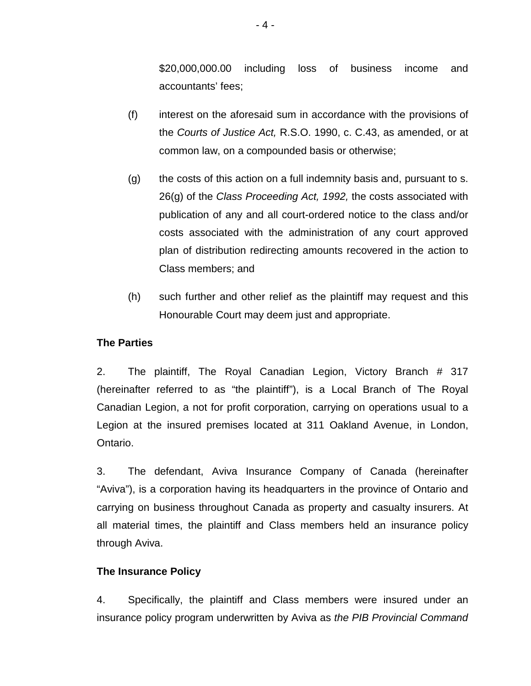\$20,000,000.00 including loss of business income and accountants' fees;

- (f) interest on the aforesaid sum in accordance with the provisions of the *Courts of Justice Act,* R.S.O. 1990, c. C.43, as amended, or at common law, on a compounded basis or otherwise;
- (g) the costs of this action on a full indemnity basis and, pursuant to s. 26(g) of the *Class Proceeding Act, 1992,* the costs associated with publication of any and all court-ordered notice to the class and/or costs associated with the administration of any court approved plan of distribution redirecting amounts recovered in the action to Class members; and
- (h) such further and other relief as the plaintiff may request and this Honourable Court may deem just and appropriate.

# **The Parties**

2. The plaintiff, The Royal Canadian Legion, Victory Branch # 317 (hereinafter referred to as "the plaintiff"), is a Local Branch of The Royal Canadian Legion, a not for profit corporation, carrying on operations usual to a Legion at the insured premises located at 311 Oakland Avenue, in London, Ontario.

3. The defendant, Aviva Insurance Company of Canada (hereinafter "Aviva"), is a corporation having its headquarters in the province of Ontario and carrying on business throughout Canada as property and casualty insurers. At all material times, the plaintiff and Class members held an insurance policy through Aviva.

## **The Insurance Policy**

4. Specifically, the plaintiff and Class members were insured under an insurance policy program underwritten by Aviva as *the PIB Provincial Command*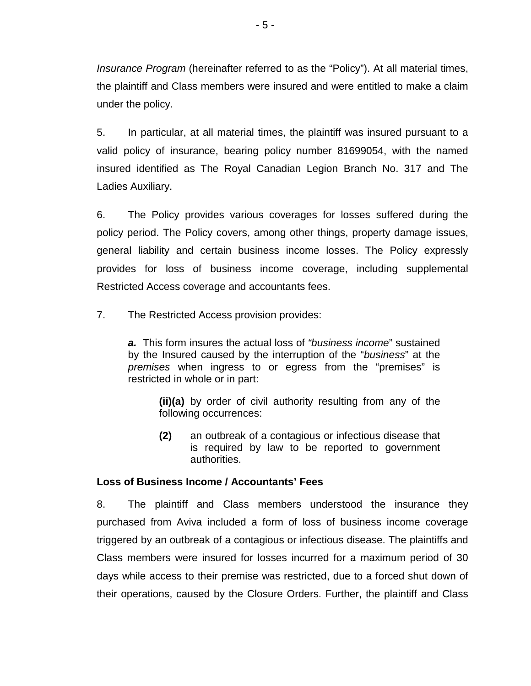*Insurance Program* (hereinafter referred to as the "Policy"). At all material times, the plaintiff and Class members were insured and were entitled to make a claim under the policy.

5. In particular, at all material times, the plaintiff was insured pursuant to a valid policy of insurance, bearing policy number 81699054, with the named insured identified as The Royal Canadian Legion Branch No. 317 and The Ladies Auxiliary.

6. The Policy provides various coverages for losses suffered during the policy period. The Policy covers, among other things, property damage issues, general liability and certain business income losses. The Policy expressly provides for loss of business income coverage, including supplemental Restricted Access coverage and accountants fees.

7. The Restricted Access provision provides:

*a.* This form insures the actual loss of *"business income*" sustained by the Insured caused by the interruption of the "*business*" at the *premises* when ingress to or egress from the "premises" is restricted in whole or in part:

**(ii)(a)** by order of civil authority resulting from any of the following occurrences:

**(2)** an outbreak of a contagious or infectious disease that is required by law to be reported to government authorities.

## **Loss of Business Income / Accountants' Fees**

8. The plaintiff and Class members understood the insurance they purchased from Aviva included a form of loss of business income coverage triggered by an outbreak of a contagious or infectious disease. The plaintiffs and Class members were insured for losses incurred for a maximum period of 30 days while access to their premise was restricted, due to a forced shut down of their operations, caused by the Closure Orders. Further, the plaintiff and Class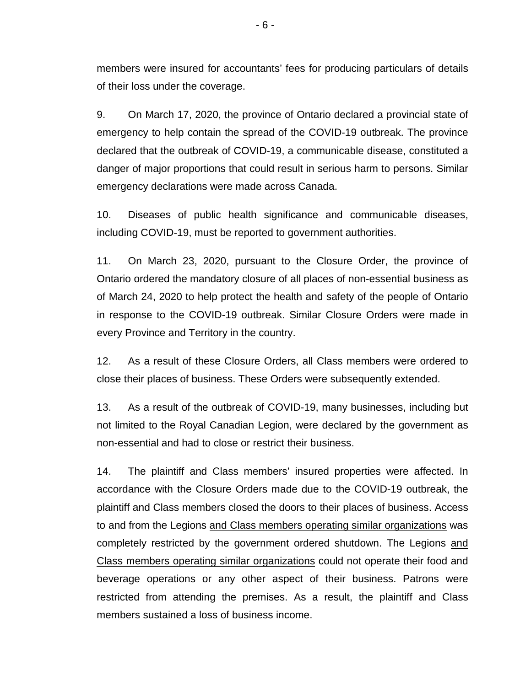members were insured for accountants' fees for producing particulars of details of their loss under the coverage.

9. On March 17, 2020, the province of Ontario declared a provincial state of emergency to help contain the spread of the COVID-19 outbreak. The province declared that the outbreak of COVID-19, a communicable disease, constituted a danger of major proportions that could result in serious harm to persons. Similar emergency declarations were made across Canada.

10. Diseases of public health significance and communicable diseases, including COVID-19, must be reported to government authorities.

11. On March 23, 2020, pursuant to the Closure Order, the province of Ontario ordered the mandatory closure of all places of non-essential business as of March 24, 2020 to help protect the health and safety of the people of Ontario in response to the COVID-19 outbreak. Similar Closure Orders were made in every Province and Territory in the country.

12. As a result of these Closure Orders, all Class members were ordered to close their places of business. These Orders were subsequently extended.

13. As a result of the outbreak of COVID-19, many businesses, including but not limited to the Royal Canadian Legion, were declared by the government as non-essential and had to close or restrict their business.

14. The plaintiff and Class members' insured properties were affected. In accordance with the Closure Orders made due to the COVID-19 outbreak, the plaintiff and Class members closed the doors to their places of business. Access to and from the Legions and Class members operating similar organizations was completely restricted by the government ordered shutdown. The Legions and Class members operating similar organizations could not operate their food and beverage operations or any other aspect of their business. Patrons were restricted from attending the premises. As a result, the plaintiff and Class members sustained a loss of business income.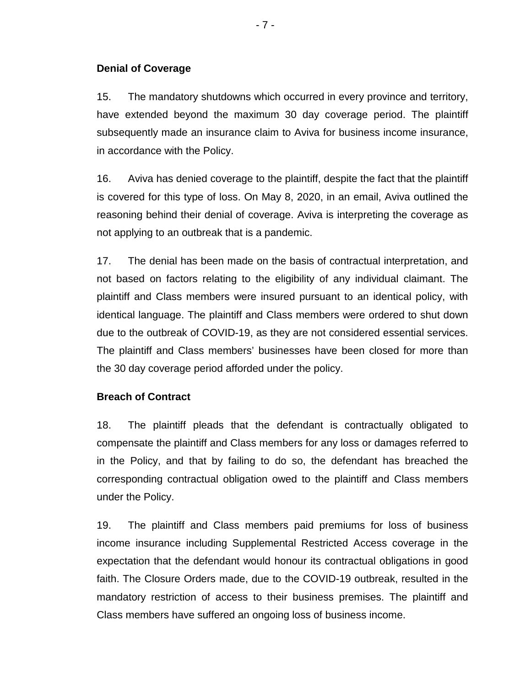## **Denial of Coverage**

15. The mandatory shutdowns which occurred in every province and territory, have extended beyond the maximum 30 day coverage period. The plaintiff subsequently made an insurance claim to Aviva for business income insurance, in accordance with the Policy.

16. Aviva has denied coverage to the plaintiff, despite the fact that the plaintiff is covered for this type of loss. On May 8, 2020, in an email, Aviva outlined the reasoning behind their denial of coverage. Aviva is interpreting the coverage as not applying to an outbreak that is a pandemic.

17. The denial has been made on the basis of contractual interpretation, and not based on factors relating to the eligibility of any individual claimant. The plaintiff and Class members were insured pursuant to an identical policy, with identical language. The plaintiff and Class members were ordered to shut down due to the outbreak of COVID-19, as they are not considered essential services. The plaintiff and Class members' businesses have been closed for more than the 30 day coverage period afforded under the policy.

## **Breach of Contract**

18. The plaintiff pleads that the defendant is contractually obligated to compensate the plaintiff and Class members for any loss or damages referred to in the Policy, and that by failing to do so, the defendant has breached the corresponding contractual obligation owed to the plaintiff and Class members under the Policy.

19. The plaintiff and Class members paid premiums for loss of business income insurance including Supplemental Restricted Access coverage in the expectation that the defendant would honour its contractual obligations in good faith. The Closure Orders made, due to the COVID-19 outbreak, resulted in the mandatory restriction of access to their business premises. The plaintiff and Class members have suffered an ongoing loss of business income.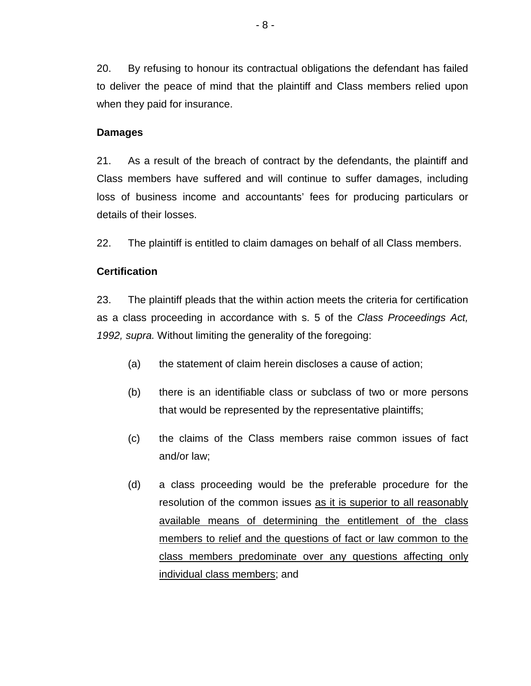20. By refusing to honour its contractual obligations the defendant has failed to deliver the peace of mind that the plaintiff and Class members relied upon when they paid for insurance.

### **Damages**

21. As a result of the breach of contract by the defendants, the plaintiff and Class members have suffered and will continue to suffer damages, including loss of business income and accountants' fees for producing particulars or details of their losses.

22. The plaintiff is entitled to claim damages on behalf of all Class members.

## **Certification**

23. The plaintiff pleads that the within action meets the criteria for certification as a class proceeding in accordance with s. 5 of the *Class Proceedings Act, 1992, supra.* Without limiting the generality of the foregoing:

- (a) the statement of claim herein discloses a cause of action;
- (b) there is an identifiable class or subclass of two or more persons that would be represented by the representative plaintiffs;
- (c) the claims of the Class members raise common issues of fact and/or law;
- (d) a class proceeding would be the preferable procedure for the resolution of the common issues as it is superior to all reasonably available means of determining the entitlement of the class members to relief and the questions of fact or law common to the class members predominate over any questions affecting only individual class members; and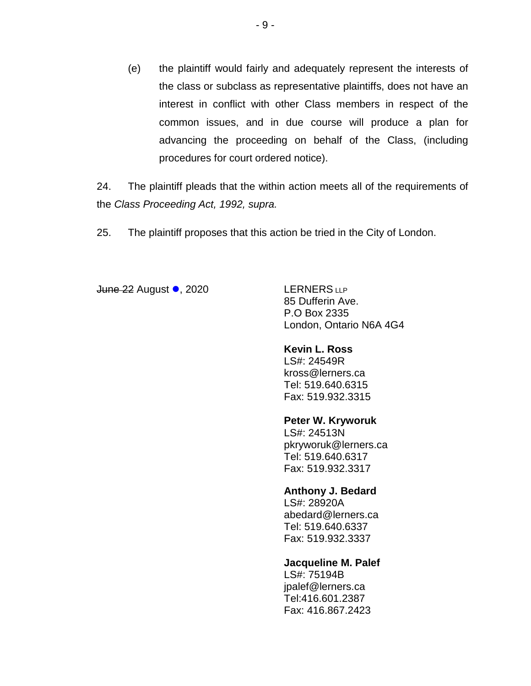(e) the plaintiff would fairly and adequately represent the interests of the class or subclass as representative plaintiffs, does not have an interest in conflict with other Class members in respect of the common issues, and in due course will produce a plan for advancing the proceeding on behalf of the Class, (including procedures for court ordered notice).

24. The plaintiff pleads that the within action meets all of the requirements of the *Class Proceeding Act, 1992, supra.*

25. The plaintiff proposes that this action be tried in the City of London.

June 22 August •, 2020 LERNERS LLP

85 Dufferin Ave. P.O Box 2335 London, Ontario N6A 4G4

### **Kevin L. Ross**

LS#: 24549R kross@lerners.ca Tel: 519.640.6315 Fax: 519.932.3315

### **Peter W. Kryworuk**

LS#: 24513N pkryworuk@lerners.ca Tel: 519.640.6317 Fax: 519.932.3317

### **Anthony J. Bedard**

LS#: 28920A abedard@lerners.ca Tel: 519.640.6337 Fax: 519.932.3337

### **Jacqueline M. Palef**

LS#: 75194B jpalef@lerners.ca Tel:416.601.2387 Fax: 416.867.2423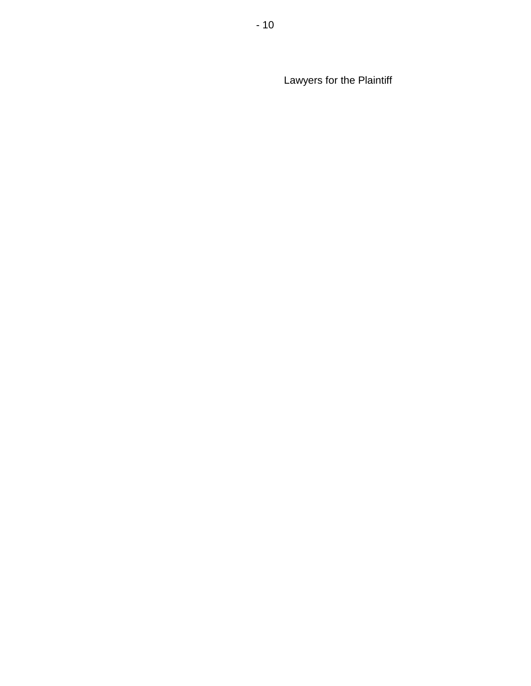Lawyers for the Plaintiff